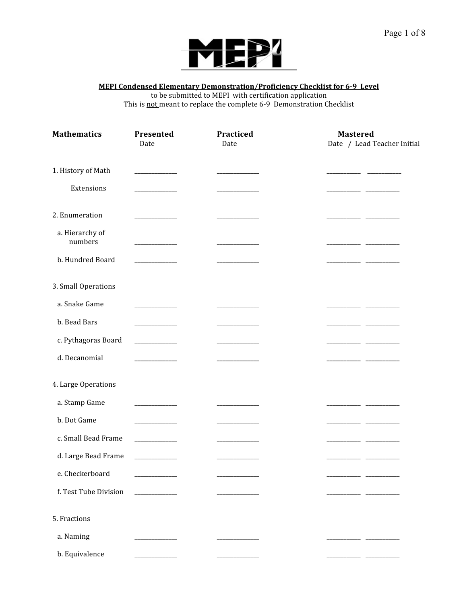

#### **MEPI Condensed Elementary Demonstration/Proficiency Checklist for 6-9 Level**

to
be
submitted
to
MEPI

with
certification
application

This is not meant to replace the complete 6-9 Demonstration Checklist

| <b>Mathematics</b>         | Presented<br>Date                            | Practiced<br>Date | <b>Mastered</b><br>Date / Lead Teacher Initial |
|----------------------------|----------------------------------------------|-------------------|------------------------------------------------|
| 1. History of Math         | <b>Contract Contract</b>                     |                   |                                                |
| Extensions                 |                                              |                   | $\overline{\phantom{a}}$                       |
| 2. Enumeration             |                                              |                   |                                                |
| a. Hierarchy of<br>numbers |                                              |                   |                                                |
| b. Hundred Board           |                                              |                   |                                                |
| 3. Small Operations        |                                              |                   |                                                |
| a. Snake Game              | $\sim$ $\sim$ $\sim$ $\sim$ $\sim$           |                   |                                                |
| b. Bead Bars               | _________                                    |                   |                                                |
| c. Pythagoras Board        | <u> 1989 - Johann Barnett, fransk konge</u>  |                   | $\overline{\phantom{a}}$                       |
| d. Decanomial              |                                              |                   |                                                |
| 4. Large Operations        |                                              |                   |                                                |
| a. Stamp Game              | <b>Contract Contract</b>                     |                   |                                                |
| b. Dot Game                |                                              |                   |                                                |
| c. Small Bead Frame        | <u> 1999 - Jan Barnett, fransk politiker</u> |                   |                                                |
| d. Large Bead Frame        |                                              |                   |                                                |
| e. Checkerboard            |                                              |                   |                                                |
| f. Test Tube Division      |                                              |                   |                                                |
| 5. Fractions               |                                              |                   |                                                |
| a. Naming                  |                                              |                   |                                                |
| b. Equivalence             |                                              |                   |                                                |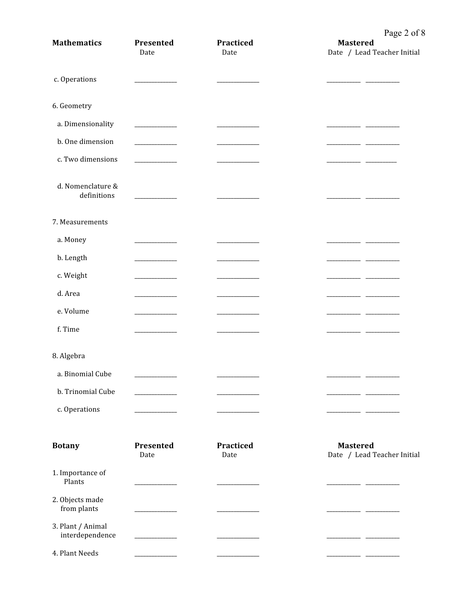| <b>Mathematics</b>                   | Presented<br>Date                                      | Practiced<br>Date | $1 \text{ g}$ $\epsilon$ $\epsilon$ $\upsilon$<br><b>Mastered</b><br>Date / Lead Teacher Initial |
|--------------------------------------|--------------------------------------------------------|-------------------|--------------------------------------------------------------------------------------------------|
| c. Operations                        |                                                        |                   |                                                                                                  |
| 6. Geometry                          |                                                        |                   |                                                                                                  |
| a. Dimensionality                    | <u> 1999 - Jan Jan Jan</u>                             |                   |                                                                                                  |
| b. One dimension                     | <u> 1989 - Jan Jan Jawa Barat, president politik (</u> |                   | _ _                                                                                              |
| c. Two dimensions                    |                                                        |                   |                                                                                                  |
| d. Nomenclature &<br>definitions     | <b>Contract Contract Contract</b>                      |                   |                                                                                                  |
| 7. Measurements                      |                                                        |                   |                                                                                                  |
| a. Money                             | <u> 1999 - Jan Jan Jan</u>                             |                   |                                                                                                  |
| b. Length                            |                                                        |                   |                                                                                                  |
| c. Weight                            |                                                        |                   |                                                                                                  |
| d. Area                              |                                                        |                   |                                                                                                  |
| e. Volume                            | <u> 1999 - Jan Jan Jan</u>                             |                   |                                                                                                  |
| f. Time                              |                                                        |                   |                                                                                                  |
| 8. Algebra                           |                                                        |                   |                                                                                                  |
| a. Binomial Cube                     |                                                        |                   |                                                                                                  |
| b. Trinomial Cube                    |                                                        |                   |                                                                                                  |
| c. Operations                        |                                                        |                   |                                                                                                  |
| <b>Botany</b>                        | Presented<br>Date                                      | Practiced<br>Date | <b>Mastered</b><br>Date / Lead Teacher Initial                                                   |
| 1. Importance of<br>Plants           |                                                        |                   |                                                                                                  |
| 2. Objects made<br>from plants       |                                                        |                   |                                                                                                  |
| 3. Plant / Animal<br>interdependence |                                                        |                   |                                                                                                  |
| 4. Plant Needs                       |                                                        |                   |                                                                                                  |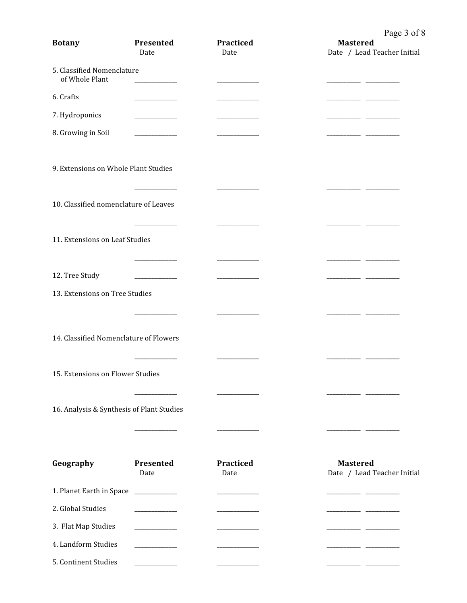| <b>Botany</b>                                | Presented<br>Date                 | Practiced<br>Date        | $     -$<br><b>Mastered</b><br>Date / Lead Teacher Initial |
|----------------------------------------------|-----------------------------------|--------------------------|------------------------------------------------------------|
| 5. Classified Nomenclature<br>of Whole Plant |                                   |                          |                                                            |
| 6. Crafts                                    |                                   |                          |                                                            |
| 7. Hydroponics                               |                                   |                          |                                                            |
| 8. Growing in Soil                           | <b>Contract Contract</b>          |                          |                                                            |
| 9. Extensions on Whole Plant Studies         |                                   |                          |                                                            |
| 10. Classified nomenclature of Leaves        |                                   |                          |                                                            |
| 11. Extensions on Leaf Studies               |                                   |                          |                                                            |
|                                              |                                   |                          | <u>________</u>                                            |
| 12. Tree Study                               | <u> 1989 - Johann John Stone</u>  |                          | _ _                                                        |
| 13. Extensions on Tree Studies               |                                   |                          |                                                            |
|                                              |                                   |                          |                                                            |
| 14. Classified Nomenclature of Flowers       |                                   |                          |                                                            |
| 15. Extensions on Flower Studies             |                                   |                          |                                                            |
| 16. Analysis & Synthesis of Plant Studies    |                                   |                          |                                                            |
|                                              |                                   |                          |                                                            |
| Geography                                    | Presented<br>Date                 | <b>Practiced</b><br>Date | <b>Mastered</b><br>Date / Lead Teacher Initial             |
| 1. Planet Earth in Space                     | <b>Contract Contract Contract</b> |                          |                                                            |
| 2. Global Studies                            |                                   |                          |                                                            |
| 3. Flat Map Studies                          |                                   |                          |                                                            |
| 4. Landform Studies                          |                                   |                          |                                                            |
| 5. Continent Studies                         |                                   |                          |                                                            |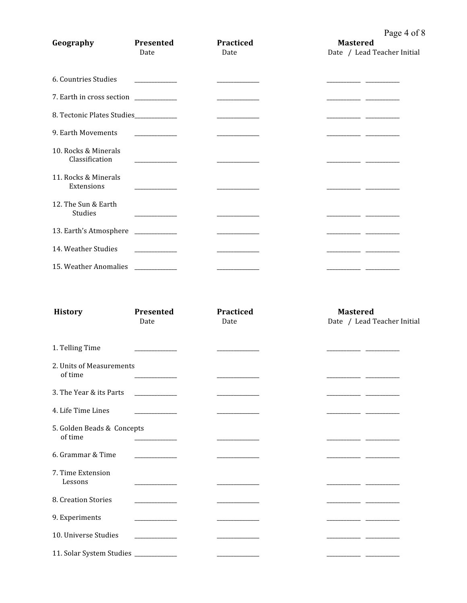## Page 4 of 8

| Geography                              | Presented<br>Date                                                   | Practiced<br>Date                                                                                                                                                                                                                    | $1$ agc + 01<br><b>Mastered</b><br>Date / Lead Teacher Initial |
|----------------------------------------|---------------------------------------------------------------------|--------------------------------------------------------------------------------------------------------------------------------------------------------------------------------------------------------------------------------------|----------------------------------------------------------------|
| 6. Countries Studies                   | the control of the control of                                       |                                                                                                                                                                                                                                      |                                                                |
| 7. Earth in cross section ___________  |                                                                     |                                                                                                                                                                                                                                      |                                                                |
| 8. Tectonic Plates Studies____________ |                                                                     | <u> 1990 - Johann Barnett, fransk politiker</u>                                                                                                                                                                                      |                                                                |
| 9. Earth Movements                     | $\overline{\phantom{a}}$ . The contract of $\overline{\phantom{a}}$ |                                                                                                                                                                                                                                      |                                                                |
| 10. Rocks & Minerals<br>Classification |                                                                     |                                                                                                                                                                                                                                      |                                                                |
| 11. Rocks & Minerals<br>Extensions     |                                                                     |                                                                                                                                                                                                                                      |                                                                |
| 12. The Sun & Earth<br>Studies         | <u> 1990 - Johann Barnett, fransk politiker</u>                     |                                                                                                                                                                                                                                      | ________________                                               |
| 13. Earth's Atmosphere                 | ___________________                                                 | <u> The Community of the Community of the Community of the Community of the Community of the Community of the Community of the Community of the Community of the Community of the Community of the Community of the Community of</u> |                                                                |
| 14. Weather Studies                    |                                                                     |                                                                                                                                                                                                                                      |                                                                |
| 15. Weather Anomalies                  | <u> The Communication</u>                                           | <u> The Communication of the Communication of the Communication of the Communication of the Communication of the Communication of the Communication of the Communication of the Communication of the Communication of the Commun</u> |                                                                |
| <b>History</b>                         | Presented                                                           | Practiced                                                                                                                                                                                                                            | <b>Mastered</b>                                                |

|                                       | Date                                                                                                                                                                                                                                 | Date | Date / Lead Teacher Initial |
|---------------------------------------|--------------------------------------------------------------------------------------------------------------------------------------------------------------------------------------------------------------------------------------|------|-----------------------------|
| 1. Telling Time                       | _________                                                                                                                                                                                                                            |      |                             |
| 2. Units of Measurements<br>of time   |                                                                                                                                                                                                                                      |      |                             |
| 3. The Year & its Parts               | <u> The Community of the Community of the Community of the Community of the Community of the Community of the Community of the Community of the Community of the Community of the Community of the Community of the Community of</u> |      |                             |
| 4. Life Time Lines                    | <u> 1990 - Jan James</u>                                                                                                                                                                                                             |      |                             |
| 5. Golden Beads & Concepts<br>of time |                                                                                                                                                                                                                                      |      |                             |
| 6. Grammar & Time                     | <u> 1999 - Jan Jawa</u>                                                                                                                                                                                                              |      |                             |
| 7. Time Extension<br>Lessons          |                                                                                                                                                                                                                                      |      |                             |
| 8. Creation Stories                   | <u> 1990 - Jan James Barnett, politik politik (</u>                                                                                                                                                                                  |      |                             |
| 9. Experiments                        |                                                                                                                                                                                                                                      |      |                             |
| 10. Universe Studies                  | <u> 1980 - Jan Jawa Barat, prima provincia prima prima prima prima prima prima prima prima prima prima prima pri</u>                                                                                                                 |      | $\overline{\phantom{a}}$    |
| 11. Solar System Studies __________   |                                                                                                                                                                                                                                      |      |                             |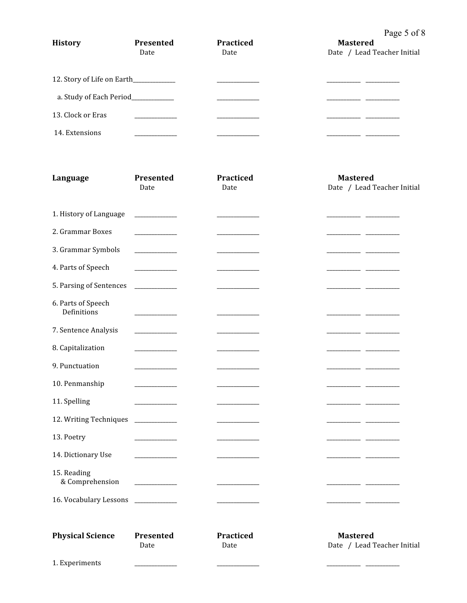### Page 5 of 8

| <b>History</b>    | Presented<br>Date                    | Practiced<br>Date | - - - - - - -<br><b>Mastered</b><br>Date / Lead Teacher Initial |
|-------------------|--------------------------------------|-------------------|-----------------------------------------------------------------|
|                   | 12. Story of Life on Earth__________ |                   |                                                                 |
|                   | a. Study of Each Period____________  |                   |                                                                 |
| 13. Clock or Eras |                                      |                   |                                                                 |
| 14. Extensions    |                                      |                   |                                                                 |

| Language                          | Presented<br><b>Practiced</b>    |                   | <b>Mastered</b>                                |  |
|-----------------------------------|----------------------------------|-------------------|------------------------------------------------|--|
|                                   | Date                             | Date              | Date / Lead Teacher Initial                    |  |
| 1. History of Language            | <u> 1999 - Jan Jan Jan</u>       |                   |                                                |  |
| 2. Grammar Boxes                  |                                  |                   |                                                |  |
| 3. Grammar Symbols                |                                  |                   |                                                |  |
| 4. Parts of Speech                |                                  |                   |                                                |  |
| 5. Parsing of Sentences           |                                  |                   |                                                |  |
| 6. Parts of Speech<br>Definitions |                                  |                   |                                                |  |
| 7. Sentence Analysis              |                                  |                   |                                                |  |
| 8. Capitalization                 |                                  |                   |                                                |  |
| 9. Punctuation                    | the control of the con-          |                   |                                                |  |
| 10. Penmanship                    |                                  |                   |                                                |  |
| 11. Spelling                      |                                  |                   |                                                |  |
| 12. Writing Techniques            |                                  |                   | - -                                            |  |
| 13. Poetry                        |                                  |                   |                                                |  |
| 14. Dictionary Use                | <u> 1980 - Andrea State</u>      |                   |                                                |  |
| 15. Reading<br>& Comprehension    | ______________                   |                   |                                                |  |
| 16. Vocabulary Lessons            | <u> The Common School (1988)</u> |                   |                                                |  |
| <b>Physical Science</b>           | Presented<br>Date                | Practiced<br>Date | <b>Mastered</b><br>Date / Lead Teacher Initial |  |
| 1. Experiments                    |                                  |                   |                                                |  |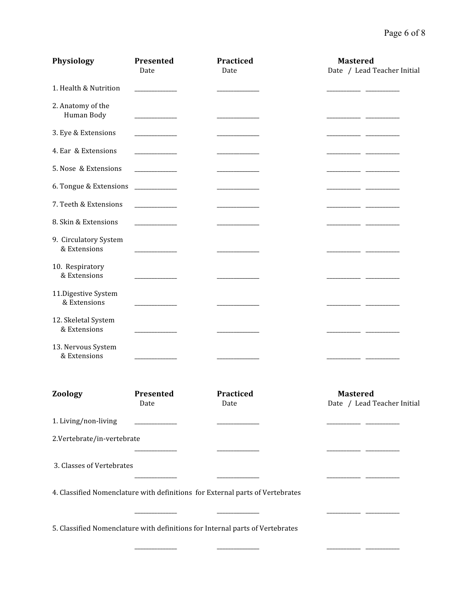# Page 6 of 8

| <b>Physiology</b>                     | Presented<br>Date                                                                                                                                                                                                                                                                                                                                                                                                                   | Practiced<br>Date                                                             | <b>Mastered</b><br>Date / Lead Teacher Initial |
|---------------------------------------|-------------------------------------------------------------------------------------------------------------------------------------------------------------------------------------------------------------------------------------------------------------------------------------------------------------------------------------------------------------------------------------------------------------------------------------|-------------------------------------------------------------------------------|------------------------------------------------|
| 1. Health & Nutrition                 |                                                                                                                                                                                                                                                                                                                                                                                                                                     |                                                                               |                                                |
| 2. Anatomy of the<br>Human Body       | <u> The Communication</u>                                                                                                                                                                                                                                                                                                                                                                                                           |                                                                               |                                                |
| 3. Eye & Extensions                   |                                                                                                                                                                                                                                                                                                                                                                                                                                     |                                                                               |                                                |
| 4. Ear & Extensions                   |                                                                                                                                                                                                                                                                                                                                                                                                                                     |                                                                               |                                                |
| 5. Nose & Extensions                  |                                                                                                                                                                                                                                                                                                                                                                                                                                     |                                                                               |                                                |
| 6. Tongue & Extensions                | <u> Alexandria de la conte</u>                                                                                                                                                                                                                                                                                                                                                                                                      |                                                                               |                                                |
| 7. Teeth & Extensions                 |                                                                                                                                                                                                                                                                                                                                                                                                                                     |                                                                               |                                                |
| 8. Skin & Extensions                  |                                                                                                                                                                                                                                                                                                                                                                                                                                     |                                                                               |                                                |
| 9. Circulatory System<br>& Extensions |                                                                                                                                                                                                                                                                                                                                                                                                                                     |                                                                               |                                                |
| 10. Respiratory<br>& Extensions       |                                                                                                                                                                                                                                                                                                                                                                                                                                     |                                                                               |                                                |
| 11.Digestive System<br>& Extensions   |                                                                                                                                                                                                                                                                                                                                                                                                                                     |                                                                               |                                                |
| 12. Skeletal System<br>& Extensions   |                                                                                                                                                                                                                                                                                                                                                                                                                                     |                                                                               |                                                |
| 13. Nervous System<br>& Extensions    |                                                                                                                                                                                                                                                                                                                                                                                                                                     |                                                                               |                                                |
| Zoology                               | Presented<br>Date                                                                                                                                                                                                                                                                                                                                                                                                                   | Practiced<br>Date                                                             | <b>Mastered</b><br>Date / Lead Teacher Initial |
| 1. Living/non-living                  | $\label{eq:2.1} \frac{1}{\sqrt{2\pi}}\left(\frac{1}{\sqrt{2\pi}}\right)^{1/2}\left(\frac{1}{\sqrt{2\pi}}\right)^{1/2}\left(\frac{1}{\sqrt{2\pi}}\right)^{1/2}\left(\frac{1}{\sqrt{2\pi}}\right)^{1/2}\left(\frac{1}{\sqrt{2\pi}}\right)^{1/2}\left(\frac{1}{\sqrt{2\pi}}\right)^{1/2}\left(\frac{1}{\sqrt{2\pi}}\right)^{1/2}\left(\frac{1}{\sqrt{2\pi}}\right)^{1/2}\left(\frac{1}{\sqrt{2\pi}}\right)^{1/2}\left(\frac{1}{\sqrt{$ |                                                                               |                                                |
| 2.Vertebrate/in-vertebrate            |                                                                                                                                                                                                                                                                                                                                                                                                                                     |                                                                               |                                                |
| 3. Classes of Vertebrates             |                                                                                                                                                                                                                                                                                                                                                                                                                                     |                                                                               |                                                |
|                                       |                                                                                                                                                                                                                                                                                                                                                                                                                                     | 4. Classified Nomenclature with definitions for External parts of Vertebrates |                                                |
|                                       |                                                                                                                                                                                                                                                                                                                                                                                                                                     | 5. Classified Nomenclature with definitions for Internal parts of Vertebrates |                                                |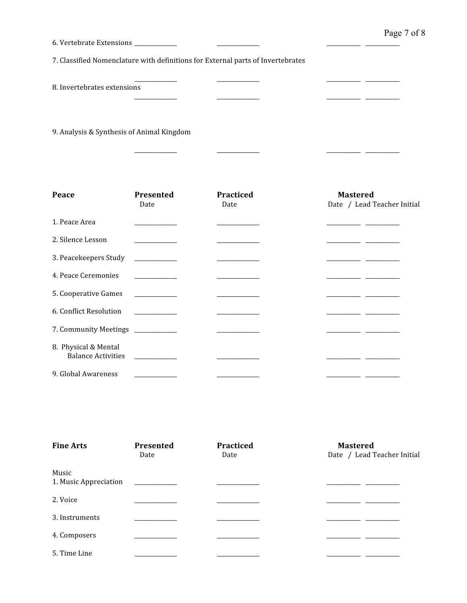| 6. Vertebrate Extensions ____________             |                                              |                                                                                 |                                                |
|---------------------------------------------------|----------------------------------------------|---------------------------------------------------------------------------------|------------------------------------------------|
|                                                   |                                              | 7. Classified Nomenclature with definitions for External parts of Invertebrates |                                                |
| 8. Invertebrates extensions                       |                                              |                                                                                 |                                                |
| 9. Analysis & Synthesis of Animal Kingdom         |                                              |                                                                                 |                                                |
|                                                   |                                              |                                                                                 |                                                |
| Peace                                             | Presented<br>Date                            | <b>Practiced</b><br>Date                                                        | <b>Mastered</b><br>Date / Lead Teacher Initial |
| 1. Peace Area                                     |                                              |                                                                                 |                                                |
| 2. Silence Lesson                                 | <u> 1999 - Jan Jan Jawa</u>                  |                                                                                 |                                                |
| 3. Peacekeepers Study                             |                                              |                                                                                 |                                                |
| 4. Peace Ceremonies                               |                                              |                                                                                 |                                                |
| 5. Cooperative Games                              | <u> 1999 - Jan Barnett, fransk politiker</u> |                                                                                 |                                                |
| 6. Conflict Resolution                            |                                              |                                                                                 |                                                |
| 7. Community Meetings                             |                                              |                                                                                 |                                                |
| 8. Physical & Mental<br><b>Balance Activities</b> | <u> Alexandria de la conte</u>               |                                                                                 |                                                |
| 9. Global Awareness                               |                                              |                                                                                 |                                                |

| <b>Fine Arts</b>               | Presented<br>Date             | Practiced<br>Date | <b>Mastered</b><br>Date / Lead Teacher Initial |
|--------------------------------|-------------------------------|-------------------|------------------------------------------------|
| Music<br>1. Music Appreciation | the company of the company of |                   |                                                |
| 2. Voice                       |                               |                   |                                                |
| 3. Instruments                 |                               |                   |                                                |
| 4. Composers                   |                               |                   |                                                |
| 5. Time Line                   |                               |                   |                                                |